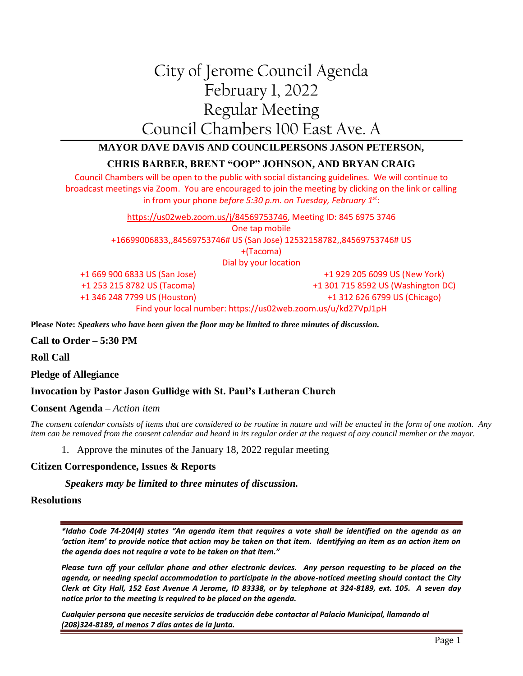# City of Jerome Council Agenda February 1, 2022 Regular Meeting Council Chambers 100 East Ave. A

## **MAYOR DAVE DAVIS AND COUNCILPERSONS JASON PETERSON,**

## **CHRIS BARBER, BRENT "OOP" JOHNSON, AND BRYAN CRAIG**

Council Chambers will be open to the public with social distancing guidelines. We will continue to broadcast meetings via Zoom. You are encouraged to join the meeting by clicking on the link or calling in from your phone *before 5:30 p.m. on Tuesday, February 1st*:

> [https://us02web.zoom.us/j/84569753746,](https://us02web.zoom.us/j/84569753746) Meeting ID: 845 6975 3746 One tap mobile +16699006833,,84569753746# US (San Jose) 12532158782,,84569753746# US +(Tacoma) Dial by your location

+1 669 900 6833 US (San Jose) +1 253 215 8782 US (Tacoma) +1 346 248 7799 US (Houston)

+1 929 205 6099 US (New York) +1 301 715 8592 US (Washington DC) +1 312 626 6799 US (Chicago)

Find your local number[: https://us02web.zoom.us/u/kd27VpJ1pH](https://us02web.zoom.us/u/kd27VpJ1pH)

**Please Note:** *Speakers who have been given the floor may be limited to three minutes of discussion.*

**Call to Order – 5:30 PM**

**Roll Call**

**Pledge of Allegiance**

#### **Invocation by Pastor Jason Gullidge with St. Paul's Lutheran Church**

**Consent Agenda –** *Action item*

*The consent calendar consists of items that are considered to be routine in nature and will be enacted in the form of one motion. Any item can be removed from the consent calendar and heard in its regular order at the request of any council member or the mayor.*

1. Approve the minutes of the January 18, 2022 regular meeting

#### **Citizen Correspondence, Issues & Reports**

*Speakers may be limited to three minutes of discussion.*

#### **Resolutions**

*\*Idaho Code 74-204(4) states "An agenda item that requires a vote shall be identified on the agenda as an 'action item' to provide notice that action may be taken on that item. Identifying an item as an action item on the agenda does not require a vote to be taken on that item."*

*Please turn off your cellular phone and other electronic devices. Any person requesting to be placed on the agenda, or needing special accommodation to participate in the above-noticed meeting should contact the City Clerk at City Hall, 152 East Avenue A Jerome, ID 83338, or by telephone at 324-8189, ext. 105. A seven day notice prior to the meeting is required to be placed on the agenda.* 

*Cualquier persona que necesite servicios de traducción debe contactar al Palacio Municipal, llamando al (208)324-8189, al menos 7 días antes de la junta.*